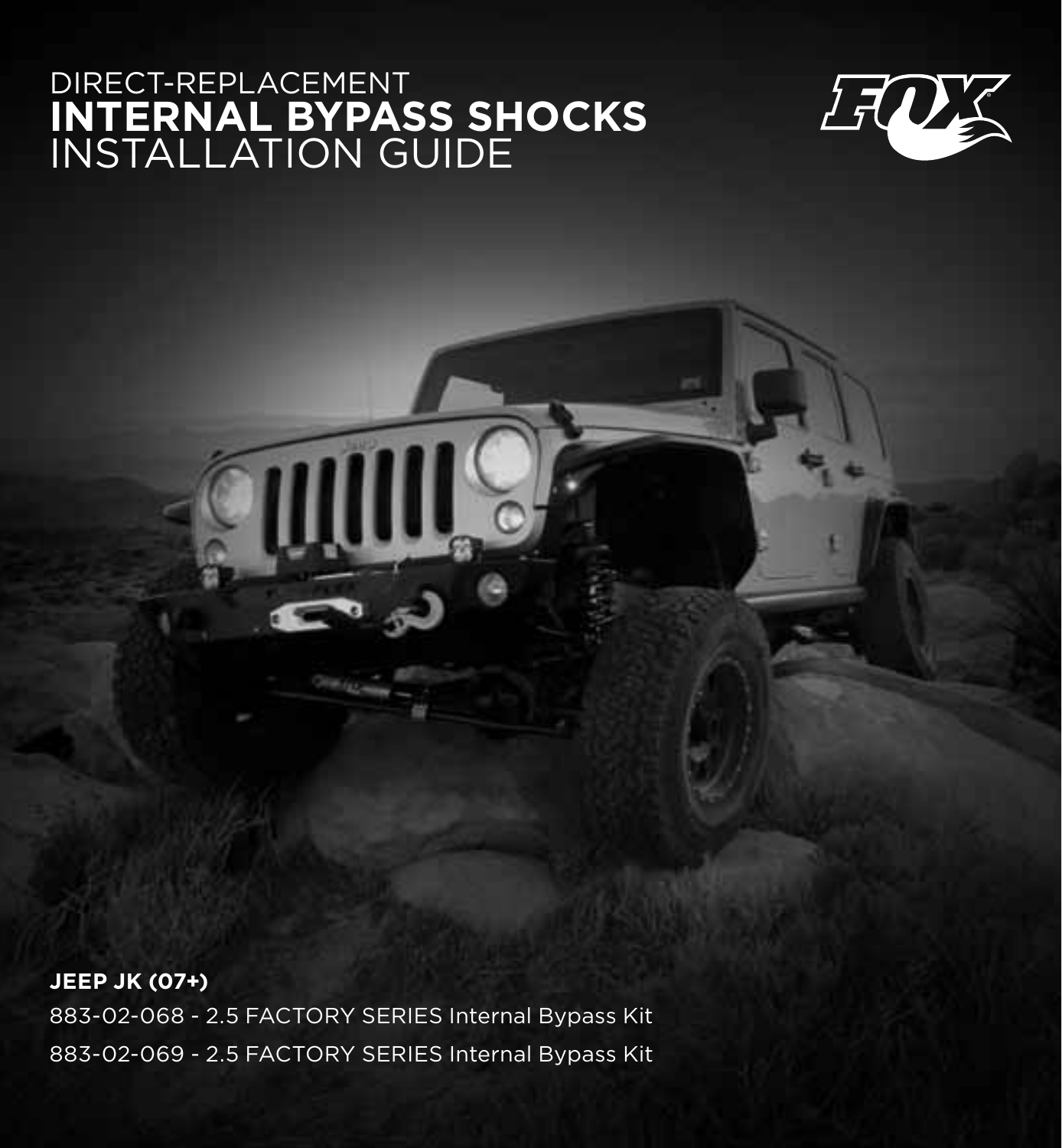## direct-replacement **internal bypass shocks** installation guide



**jeep jk (07+)** 883-02-068 - 2.5 FACTORY SERIES Internal Bypass Kit 883-02-069 - 2.5 FACTORY SERIES Internal Bypass Kit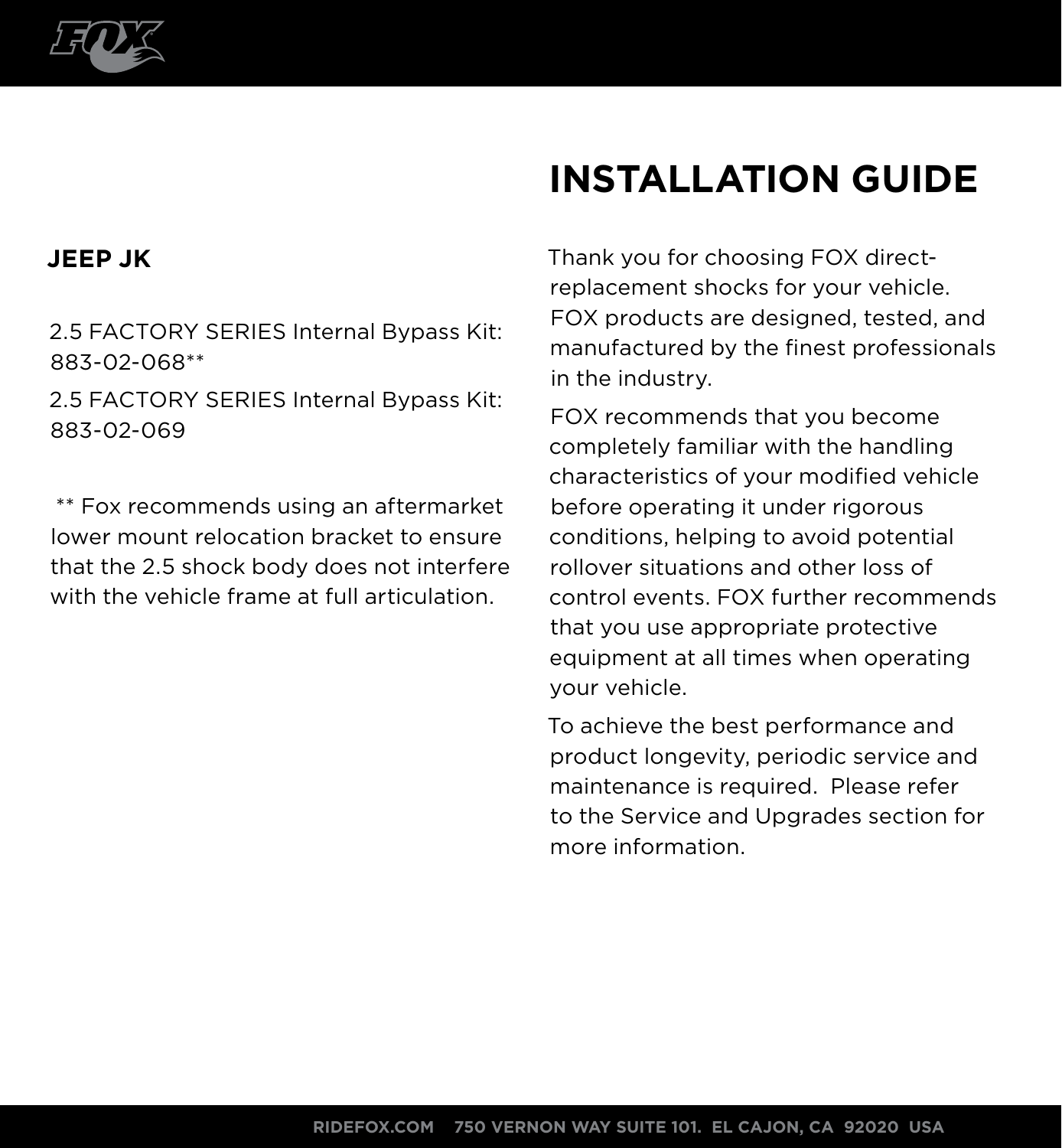

# **INSTALLATION guide**

### **JEEP JK**

2.5 FACTORY SERIES Internal Bypass Kit: 883-02-068\*\*

2.5 FACTORY SERIES Internal Bypass Kit: 883-02-069

 \*\* Fox recommends using an aftermarket lower mount relocation bracket to ensure that the 2.5 shock body does not interfere with the vehicle frame at full articulation.

Thank you for choosing FOX directreplacement shocks for your vehicle. FOX products are designed, tested, and manufactured by the finest professionals in the industry.

FOX recommends that you become completely familiar with the handling characteristics of your modified vehicle before operating it under rigorous conditions, helping to avoid potential rollover situations and other loss of control events. FOX further recommends that you use appropriate protective equipment at all times when operating your vehicle.

To achieve the best performance and product longevity, periodic service and maintenance is required. Please refer to the Service and Upgrades section for more information.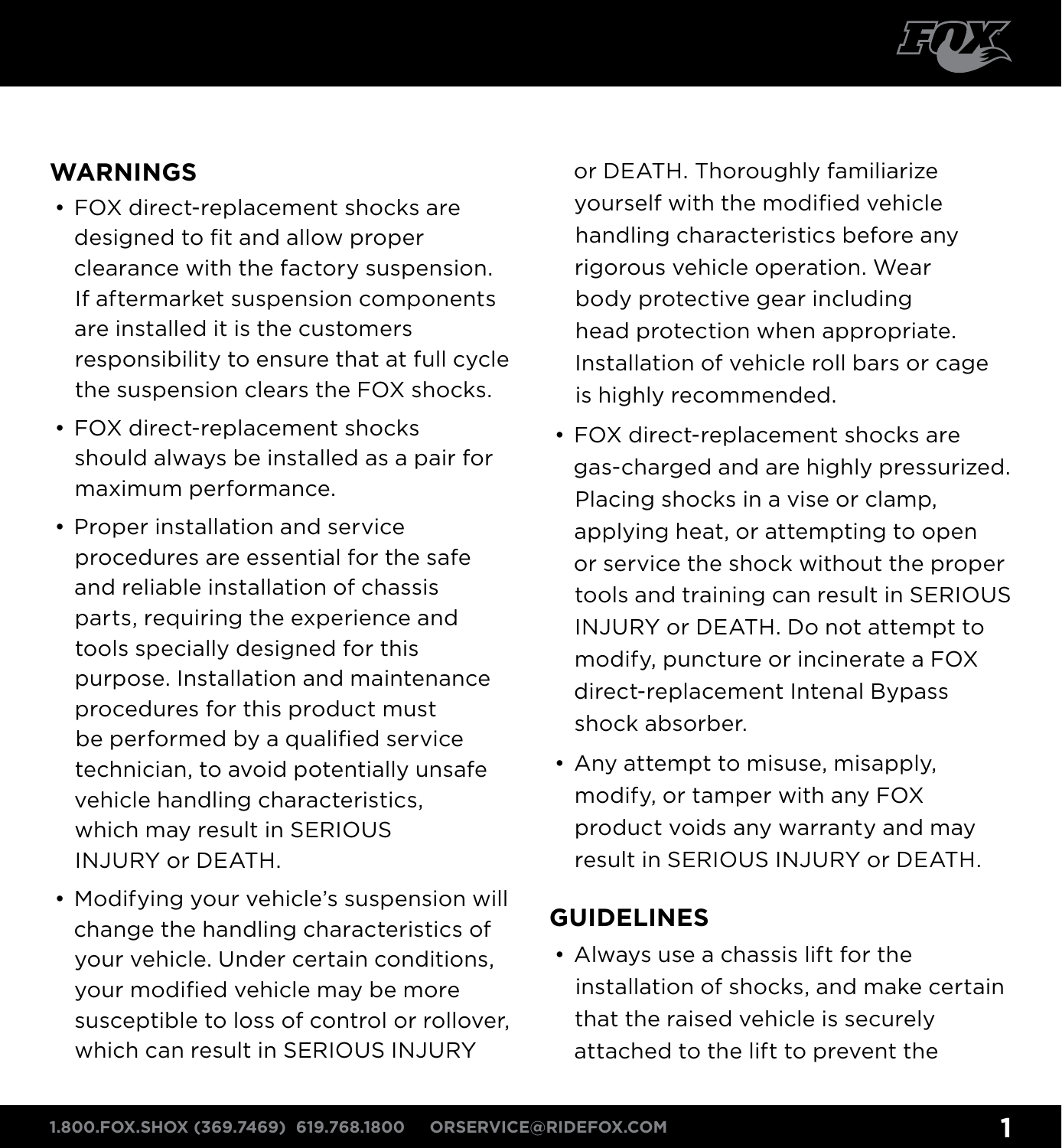

### **warnings**

- FOX direct-replacement shocks are designed to fit and allow proper clearance with the factory suspension. If aftermarket suspension components are installed it is the customers responsibility to ensure that at full cycle the suspension clears the FOX shocks.
- FOX direct-replacement shocks should always be installed as a pair for maximum performance.
- Proper installation and service procedures are essential for the safe and reliable installation of chassis parts, requiring the experience and tools specially designed for this purpose. Installation and maintenance procedures for this product must be performed by a qualified service technician, to avoid potentially unsafe vehicle handling characteristics, which may result in SERIOUS INJURY or DEATH.
- Modifying your vehicle's suspension will change the handling characteristics of your vehicle. Under certain conditions, your modified vehicle may be more susceptible to loss of control or rollover, which can result in SERIOUS INJURY

or DEATH. Thoroughly familiarize yourself with the modified vehicle handling characteristics before any rigorous vehicle operation. Wear body protective gear including head protection when appropriate. Installation of vehicle roll bars or cage is highly recommended.

- FOX direct-replacement shocks are gas-charged and are highly pressurized. Placing shocks in a vise or clamp, applying heat, or attempting to open or service the shock without the proper tools and training can result in SERIOUS INJURY or DEATH. Do not attempt to modify, puncture or incinerate a FOX direct-replacement Intenal Bypass shock absorber.
- Any attempt to misuse, misapply, modify, or tamper with any FOX product voids any warranty and may result in SERIOUS INJURY or DEATH.

### **Guidelines**

• Always use a chassis lift for the installation of shocks, and make certain that the raised vehicle is securely attached to the lift to prevent the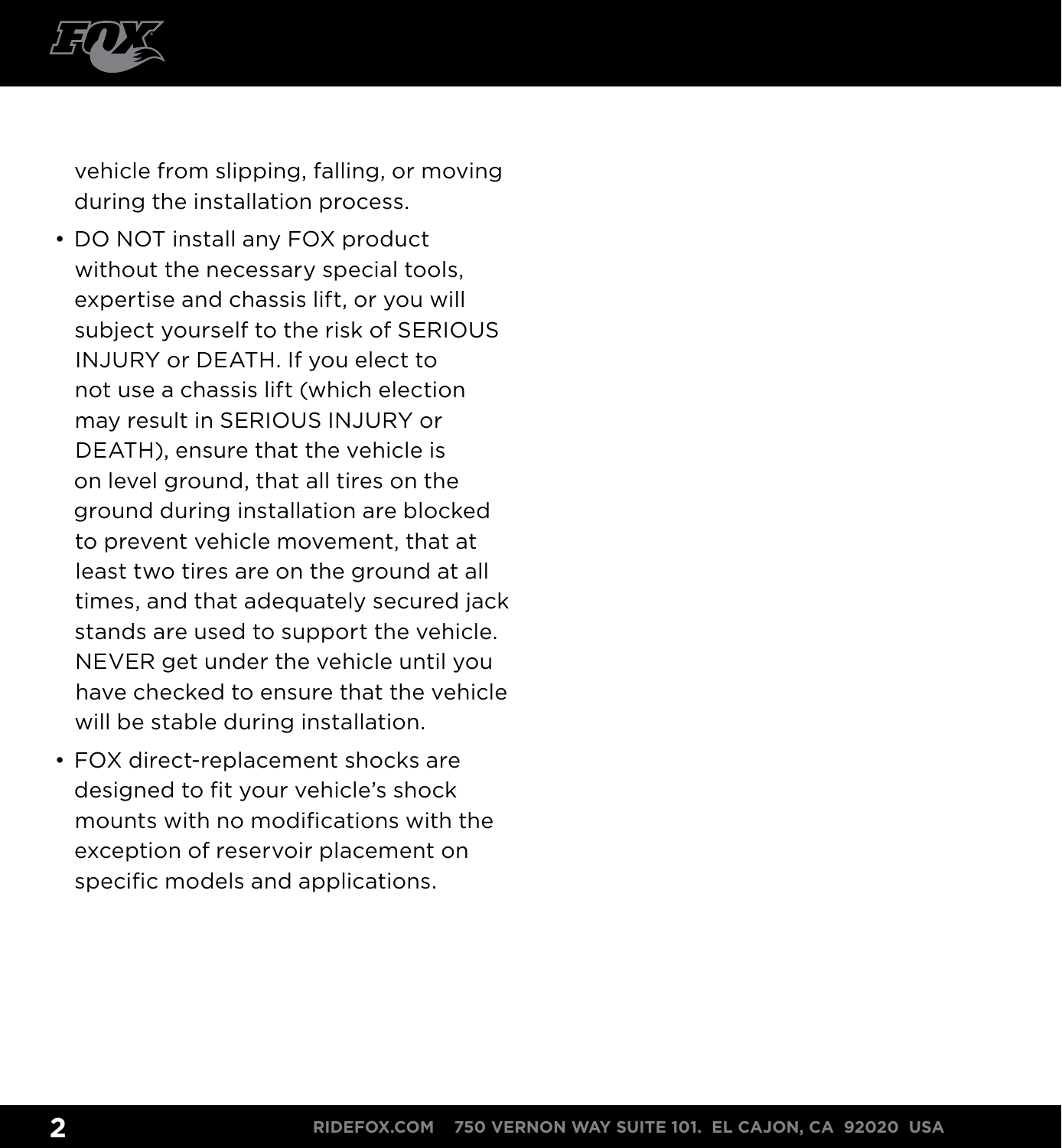

vehicle from slipping, falling, or moving during the installation process.

- DO NOT install any FOX product without the necessary special tools. expertise and chassis lift, or you will subject yourself to the risk of SERIOUS INJURY or DEATH. If you elect to not use a chassis lift (which election may result in SERIOUS INJURY or DEATH), ensure that the vehicle is on level ground, that all tires on the ground during installation are blocked to prevent vehicle movement, that at least two tires are on the ground at all times, and that adequately secured jack stands are used to support the vehicle. NEVER get under the vehicle until you have checked to ensure that the vehicle will be stable during installation.
- FOX direct-replacement shocks are designed to fit your vehicle's shock mounts with no modifications with the exception of reservoir placement on specific models and applications.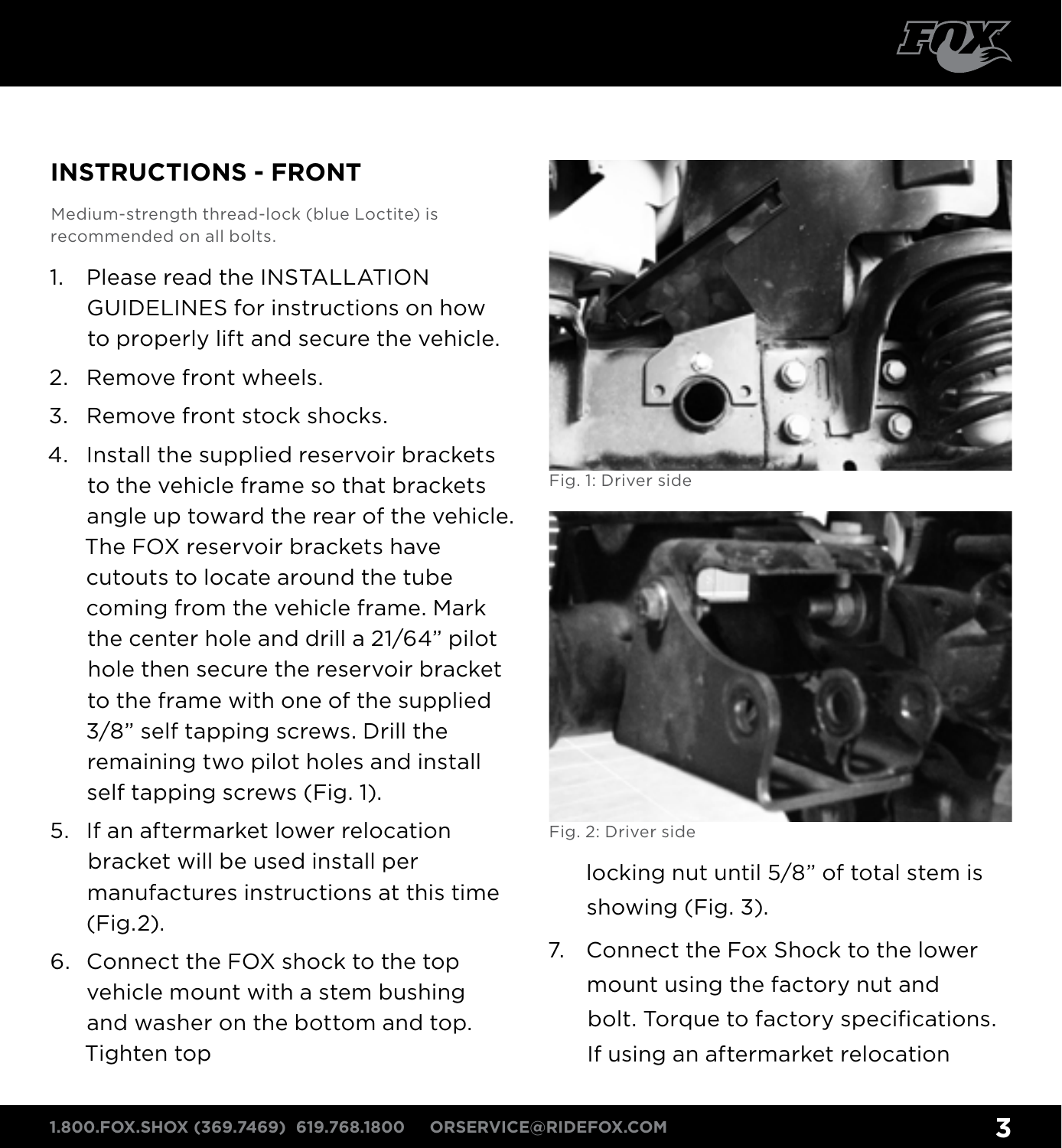

### **instructions - Front**

Medium-strength thread-lock (blue Loctite) is recommended on all bolts.

- 1. Please read the INSTALLATION GUIDELINES for instructions on how to properly lift and secure the vehicle.
- 2. Remove front wheels.
- 3. Remove front stock shocks.
- 4. Install the supplied reservoir brackets to the vehicle frame so that brackets angle up toward the rear of the vehicle. The FOX reservoir brackets have cutouts to locate around the tube coming from the vehicle frame. Mark the center hole and drill a 21/64" pilot hole then secure the reservoir bracket to the frame with one of the supplied 3/8" self tapping screws. Drill the remaining two pilot holes and install self tapping screws (Fig. 1).
- 5. If an aftermarket lower relocation bracket will be used install per manufactures instructions at this time (Fig.2).
- 6. Connect the FOX shock to the top vehicle mount with a stem bushing and washer on the bottom and top. Tighten top



Fig. 1: Driver side



Fig. 2: Driver side

locking nut until 5/8" of total stem is showing (Fig. 3).

7. Connect the Fox Shock to the lower mount using the factory nut and bolt. Torque to factory specifications. If using an aftermarket relocation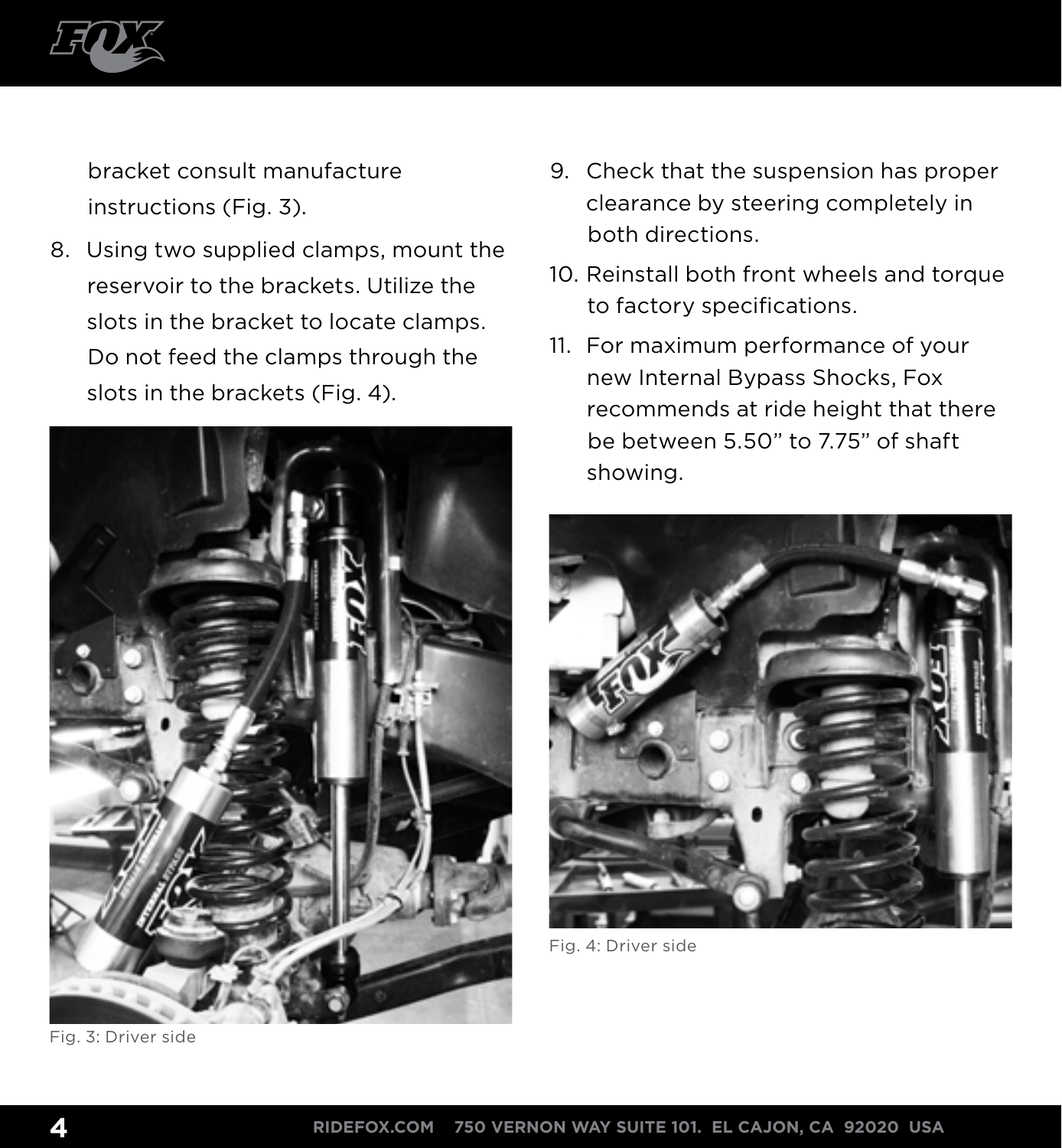

bracket consult manufacture instructions (Fig. 3).

8. Using two supplied clamps, mount the reservoir to the brackets. Utilize the slots in the bracket to locate clamps. Do not feed the clamps through the slots in the brackets (Fig. 4).



Fig. 3: Driver side

- 9. Check that the suspension has proper clearance by steering completely in both directions.
- 10. Reinstall both front wheels and torque to factory specifications.
- 11. For maximum performance of your new Internal Bypass Shocks, Fox recommends at ride height that there be between 5.50" to 7.75" of shaft showing.



Fig. 4: Driver side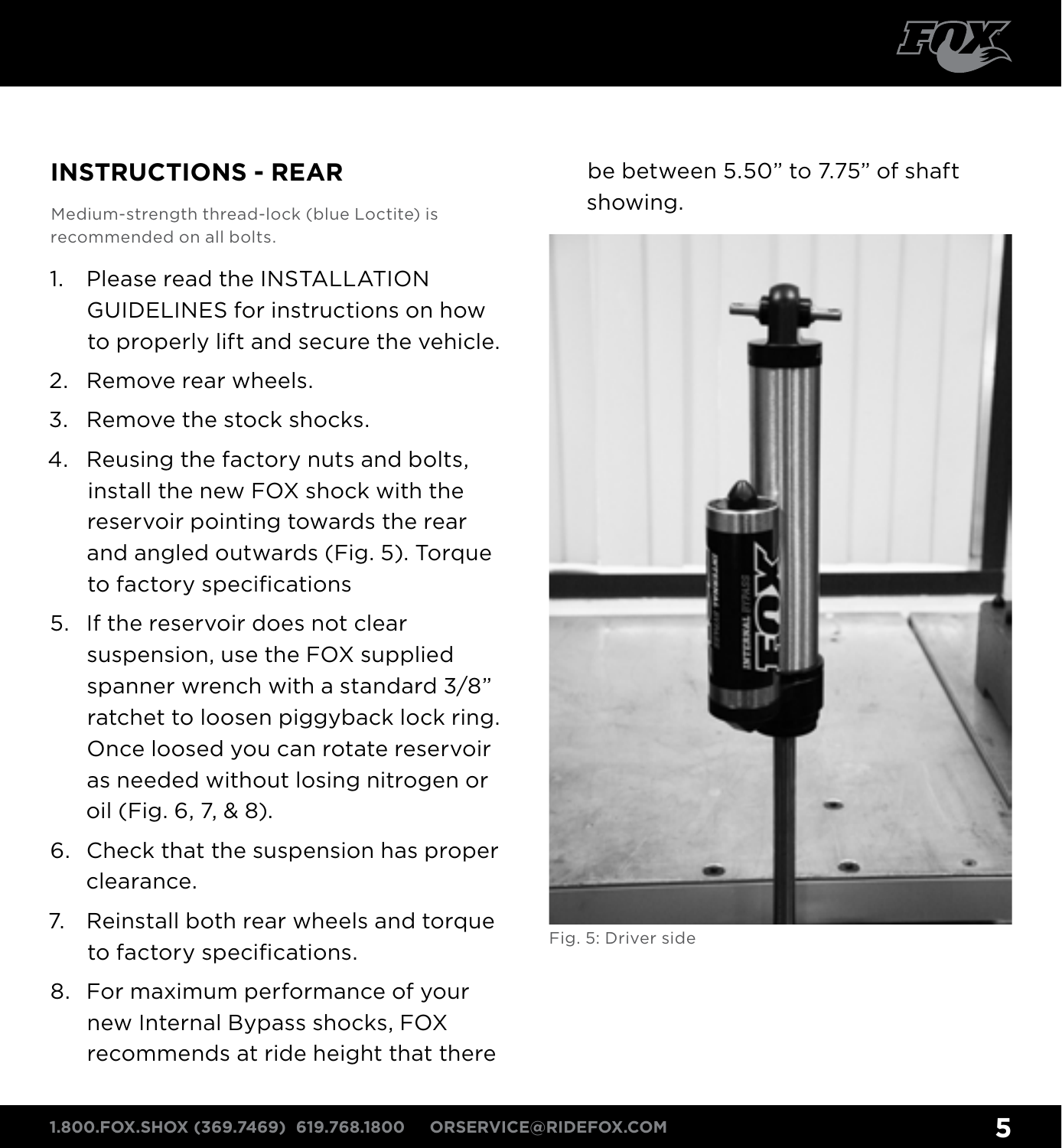

### **instructions - REAR**

Medium-strength thread-lock (blue Loctite) is recommended on all bolts.

- 1 Please read the INSTALLATION GUIDELINES for instructions on how to properly lift and secure the vehicle.
- 2. Remove rear wheels.
- 3. Remove the stock shocks.
- 4. Reusing the factory nuts and bolts, install the new FOX shock with the reservoir pointing towards the rear and angled outwards (Fig. 5). Torque to factory specifications
- 5. If the reservoir does not clear suspension, use the FOX supplied spanner wrench with a standard 3/8" ratchet to loosen piggyback lock ring. Once loosed you can rotate reservoir as needed without losing nitrogen or oil (Fig. 6, 7, & 8).
- 6. Check that the suspension has proper clearance.
- 7. Reinstall both rear wheels and torque to factory specifications.
- 8. For maximum performance of your new Internal Bypass shocks, FOX recommends at ride height that there

be between 5.50" to 7.75" of shaft showing.



Fig. 5: Driver side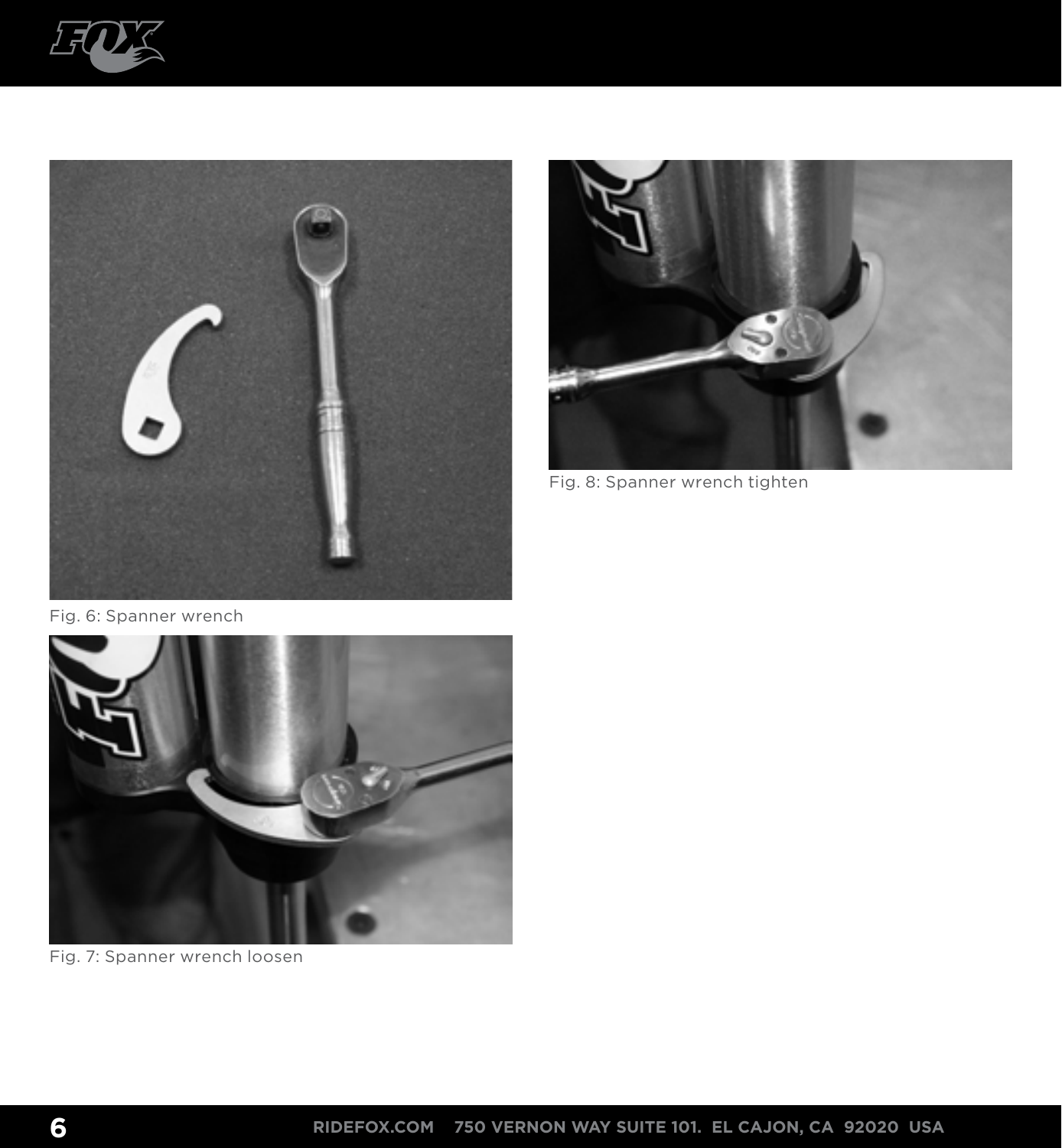





Fig. 8: Spanner wrench tighten

Fig. 6: Spanner wrench



Fig. 7: Spanner wrench loosen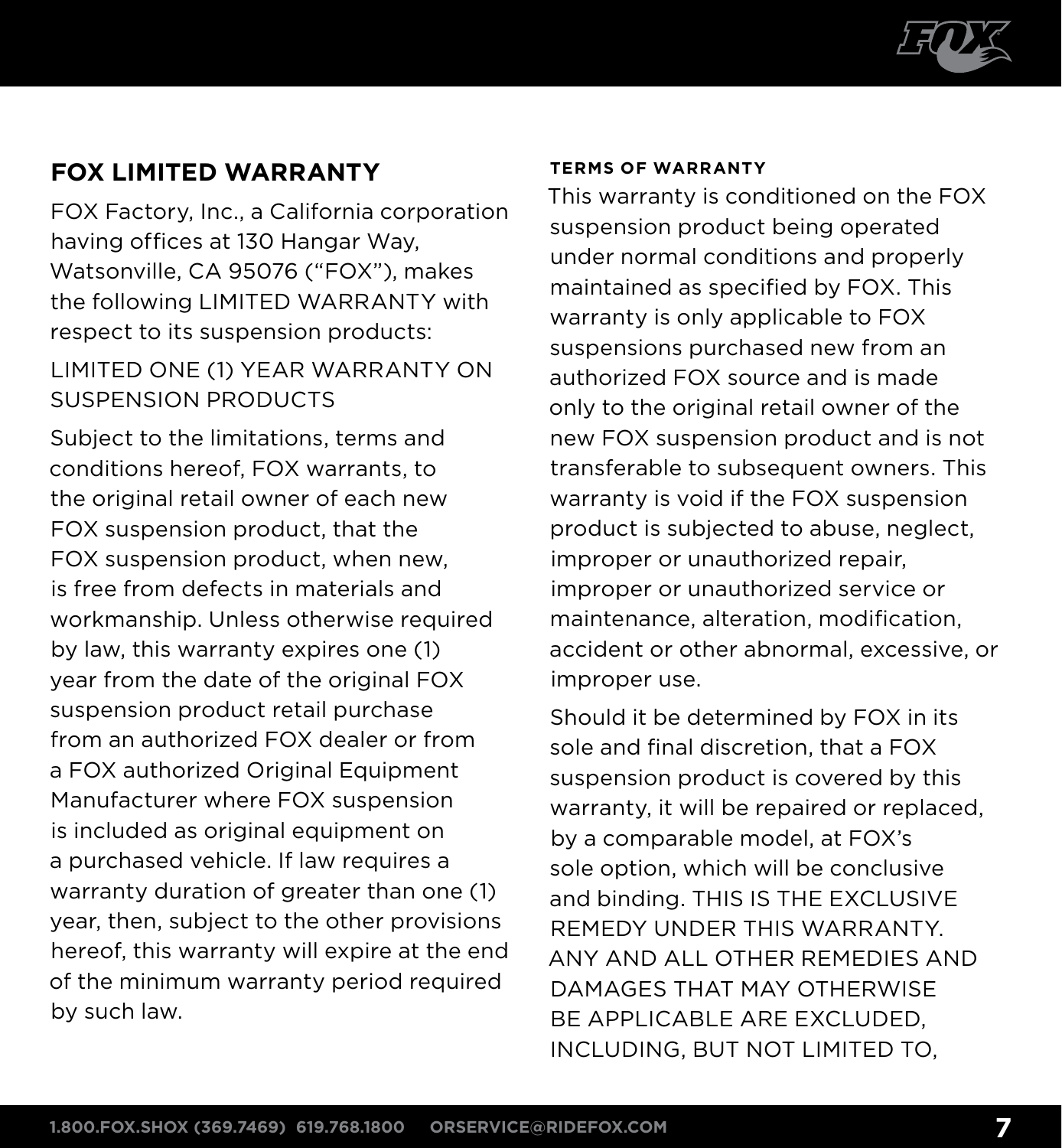

### **FOX Limited Warranty**

FOX Factory, Inc., a California corporation having offices at 130 Hangar Way, Watsonville, CA 95076 ("FOX"), makes the following LIMITED WARRANTY with respect to its suspension products:

### LIMITED ONE (1) YEAR WARRANTY ON SUSPENSION PRODUCTS

Subject to the limitations, terms and conditions hereof, FOX warrants, to the original retail owner of each new FOX suspension product, that the FOX suspension product, when new, is free from defects in materials and workmanship. Unless otherwise required by law, this warranty expires one (1) year from the date of the original FOX suspension product retail purchase from an authorized FOX dealer or from a FOX authorized Original Equipment Manufacturer where FOX suspension is included as original equipment on a purchased vehicle. If law requires a warranty duration of greater than one (1) year, then, subject to the other provisions hereof, this warranty will expire at the end of the minimum warranty period required by such law.

### **Terms of Warranty**

This warranty is conditioned on the FOX suspension product being operated under normal conditions and properly maintained as specified by FOX. This warranty is only applicable to FOX suspensions purchased new from an authorized FOX source and is made only to the original retail owner of the new FOX suspension product and is not transferable to subsequent owners. This warranty is void if the FOX suspension product is subjected to abuse, neglect, improper or unauthorized repair, improper or unauthorized service or maintenance, alteration, modification, accident or other abnormal, excessive, or improper use.

Should it be determined by FOX in its sole and final discretion, that a FOX suspension product is covered by this warranty, it will be repaired or replaced, by a comparable model, at FOX's sole option, which will be conclusive and binding. THIS IS THE EXCLUSIVE REMEDY UNDER THIS WARRANTY. ANY AND ALL OTHER REMEDIES AND DAMAGES THAT MAY OTHERWISE BE APPLICABLE ARE EXCLUDED, INCLUDING, BUT NOT LIMITED TO,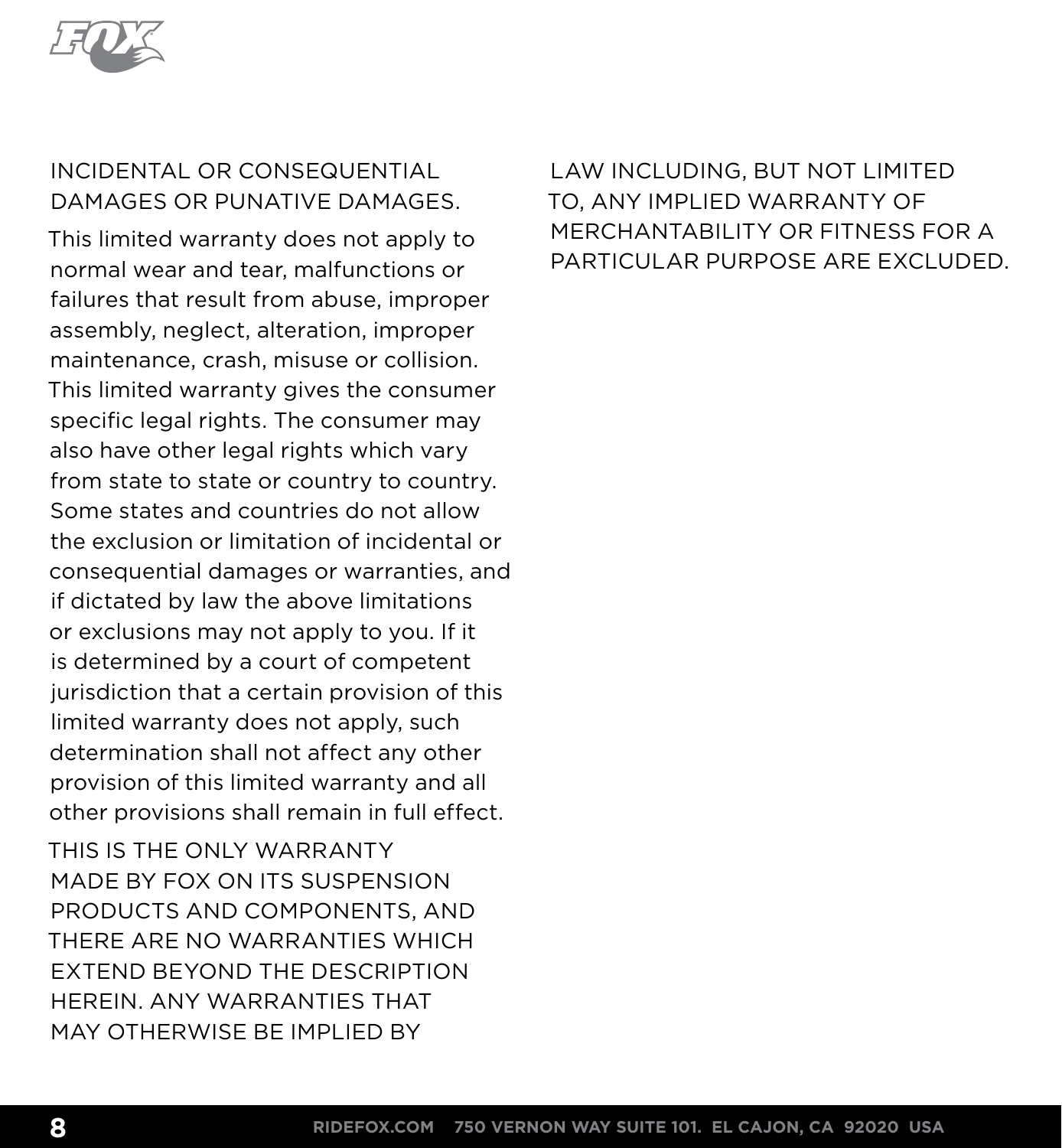

### INCIDENTAL OR CONSEQUENTIAL DAMAGES OR PUNATIVE DAMAGES.

This limited warranty does not apply to normal wear and tear, malfunctions or failures that result from abuse, improper assembly, neglect, alteration, improper maintenance, crash, misuse or collision. This limited warranty gives the consumer specific legal rights. The consumer may also have other legal rights which vary from state to state or country to country. Some states and countries do not allow the exclusion or limitation of incidental or consequential damages or warranties, and if dictated by law the above limitations or exclusions may not apply to you. If it is determined by a court of competent jurisdiction that a certain provision of this limited warranty does not apply, such determination shall not affect any other provision of this limited warranty and all other provisions shall remain in full effect.

THIS IS THE ONLY WARRANTY MADE BY FOX ON ITS SUSPENSION PRODUCTS AND COMPONENTS, AND THERE ARE NO WARRANTIES WHICH EXTEND BEYOND THE DESCRIPTION HEREIN. ANY WARRANTIES THAT MAY OTHERWISE BE IMPLIED BY

LAW INCLUDING, BUT NOT LIMITED TO, ANY IMPLIED WARRANTY OF MERCHANTABILITY OR FITNESS FOR A PARTICULAR PURPOSE ARE EXCLUDED.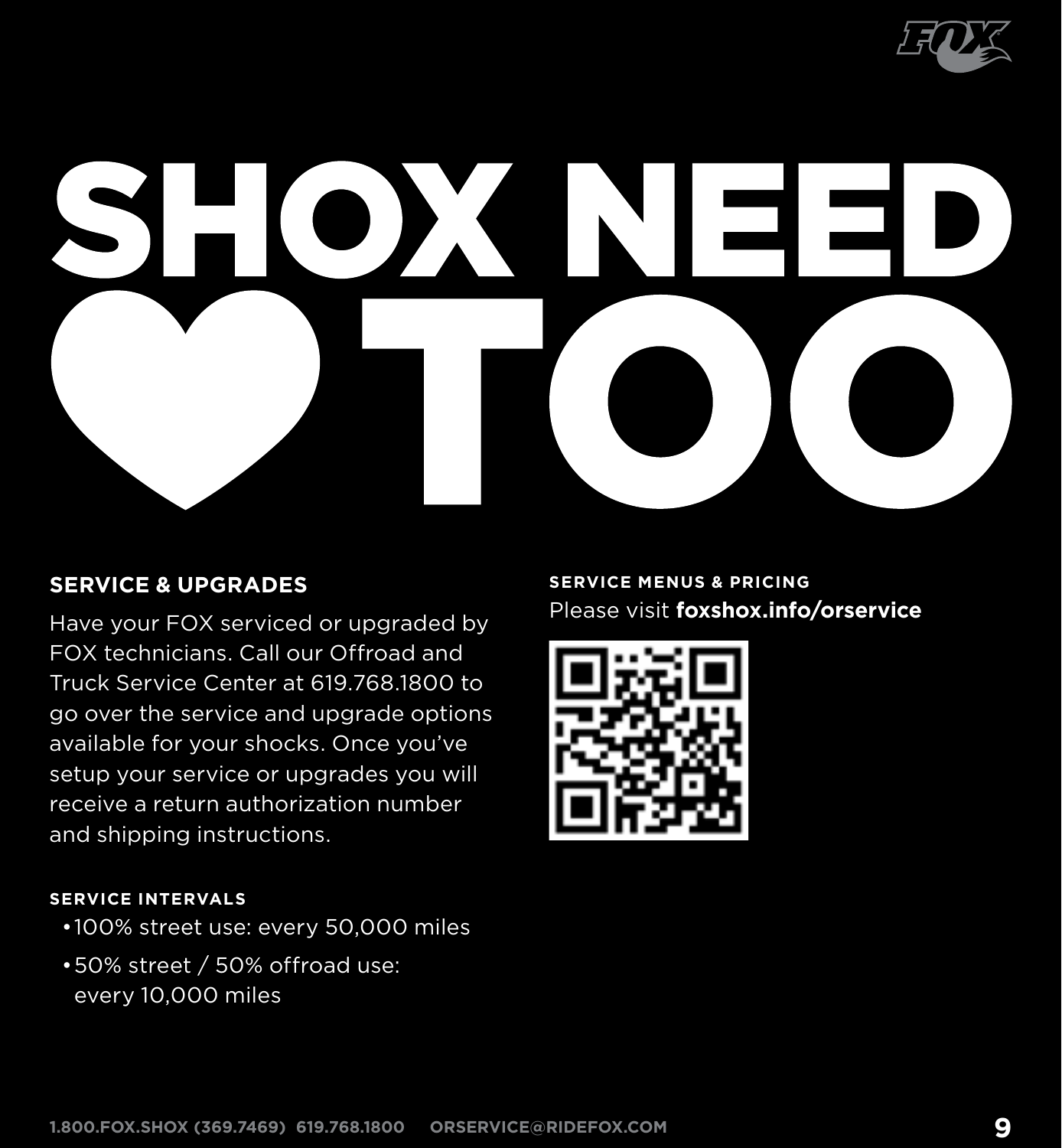

# X

### **Service & Upgrades**

Have your FOX serviced or upgraded by FOX technicians. Call our Offroad and Truck Service Center at 619.768.1800 to go over the service and upgrade options available for your shocks. Once you've setup your service or upgrades you will receive a return authorization number and shipping instructions.

### **Service menus & pricing** Please visit **foxshox.info/orservice**



### **Service InterVals**

- •100% street use: every 50,000 miles
- •50% street / 50% offroad use: every 10,000 miles